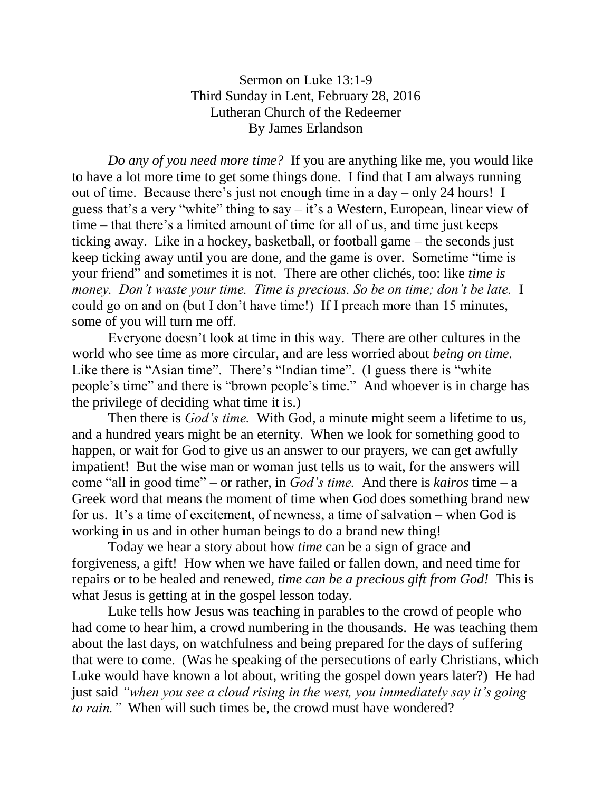## Sermon on Luke 13:1-9 Third Sunday in Lent, February 28, 2016 Lutheran Church of the Redeemer By James Erlandson

*Do any of you need more time?* If you are anything like me, you would like to have a lot more time to get some things done. I find that I am always running out of time. Because there's just not enough time in a day – only 24 hours! I guess that's a very "white" thing to say  $-$  it's a Western, European, linear view of time – that there's a limited amount of time for all of us, and time just keeps ticking away. Like in a hockey, basketball, or football game – the seconds just keep ticking away until you are done, and the game is over. Sometime "time is your friend" and sometimes it is not. There are other clichés, too: like *time is money. Don't waste your time. Time is precious. So be on time; don't be late.* I could go on and on (but I don't have time!) If I preach more than 15 minutes, some of you will turn me off.

Everyone doesn't look at time in this way. There are other cultures in the world who see time as more circular, and are less worried about *being on time.* Like there is "Asian time". There's "Indian time". (I guess there is "white people's time" and there is "brown people's time." And whoever is in charge has the privilege of deciding what time it is.)

Then there is *God's time.* With God, a minute might seem a lifetime to us, and a hundred years might be an eternity. When we look for something good to happen, or wait for God to give us an answer to our prayers, we can get awfully impatient! But the wise man or woman just tells us to wait, for the answers will come "all in good time" – or rather, in *God's time.* And there is *kairos* time – a Greek word that means the moment of time when God does something brand new for us. It's a time of excitement, of newness, a time of salvation – when God is working in us and in other human beings to do a brand new thing!

Today we hear a story about how *time* can be a sign of grace and forgiveness, a gift! How when we have failed or fallen down, and need time for repairs or to be healed and renewed, *time can be a precious gift from God!* This is what Jesus is getting at in the gospel lesson today.

Luke tells how Jesus was teaching in parables to the crowd of people who had come to hear him, a crowd numbering in the thousands. He was teaching them about the last days, on watchfulness and being prepared for the days of suffering that were to come. (Was he speaking of the persecutions of early Christians, which Luke would have known a lot about, writing the gospel down years later?) He had just said *"when you see a cloud rising in the west, you immediately say it's going to rain."* When will such times be, the crowd must have wondered?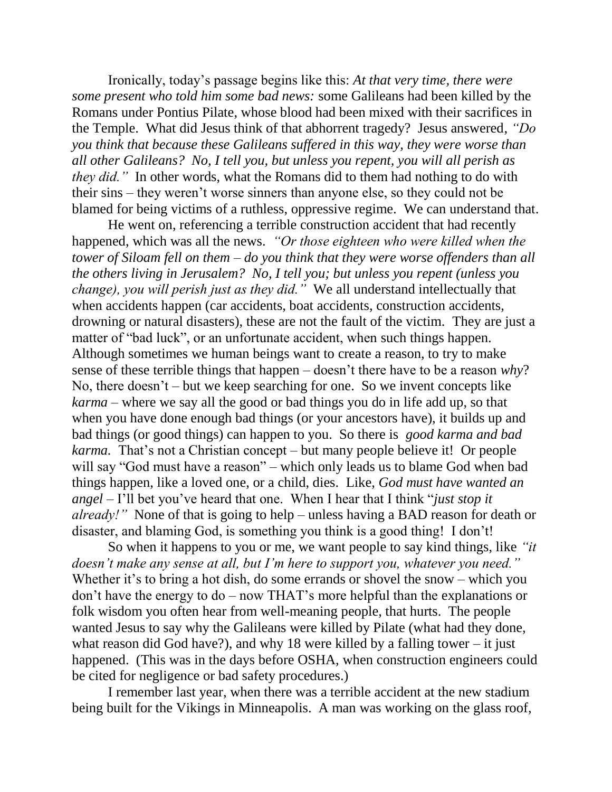Ironically, today's passage begins like this: *At that very time, there were some present who told him some bad news:* some Galileans had been killed by the Romans under Pontius Pilate, whose blood had been mixed with their sacrifices in the Temple. What did Jesus think of that abhorrent tragedy? Jesus answered, *"Do you think that because these Galileans suffered in this way, they were worse than all other Galileans? No, I tell you, but unless you repent, you will all perish as they did.*" In other words, what the Romans did to them had nothing to do with their sins – they weren't worse sinners than anyone else, so they could not be blamed for being victims of a ruthless, oppressive regime. We can understand that.

He went on, referencing a terrible construction accident that had recently happened, which was all the news. *"Or those eighteen who were killed when the tower of Siloam fell on them – do you think that they were worse offenders than all the others living in Jerusalem? No, I tell you; but unless you repent (unless you change), you will perish just as they did."* We all understand intellectually that when accidents happen (car accidents, boat accidents, construction accidents, drowning or natural disasters), these are not the fault of the victim. They are just a matter of "bad luck", or an unfortunate accident, when such things happen. Although sometimes we human beings want to create a reason, to try to make sense of these terrible things that happen – doesn't there have to be a reason *why*? No, there doesn't – but we keep searching for one. So we invent concepts like *karma* – where we say all the good or bad things you do in life add up, so that when you have done enough bad things (or your ancestors have), it builds up and bad things (or good things) can happen to you. So there is *good karma and bad karma.* That's not a Christian concept – but many people believe it! Or people will say "God must have a reason" – which only leads us to blame God when bad things happen, like a loved one, or a child, dies. Like, *God must have wanted an angel* – I'll bet you've heard that one. When I hear that I think "*just stop it already!"* None of that is going to help – unless having a BAD reason for death or disaster, and blaming God, is something you think is a good thing! I don't!

So when it happens to you or me, we want people to say kind things, like *"it doesn't make any sense at all, but I'm here to support you, whatever you need."* Whether it's to bring a hot dish, do some errands or shovel the snow – which you don't have the energy to do – now THAT's more helpful than the explanations or folk wisdom you often hear from well-meaning people, that hurts. The people wanted Jesus to say why the Galileans were killed by Pilate (what had they done, what reason did God have?), and why 18 were killed by a falling tower – it just happened. (This was in the days before OSHA, when construction engineers could be cited for negligence or bad safety procedures.)

I remember last year, when there was a terrible accident at the new stadium being built for the Vikings in Minneapolis. A man was working on the glass roof,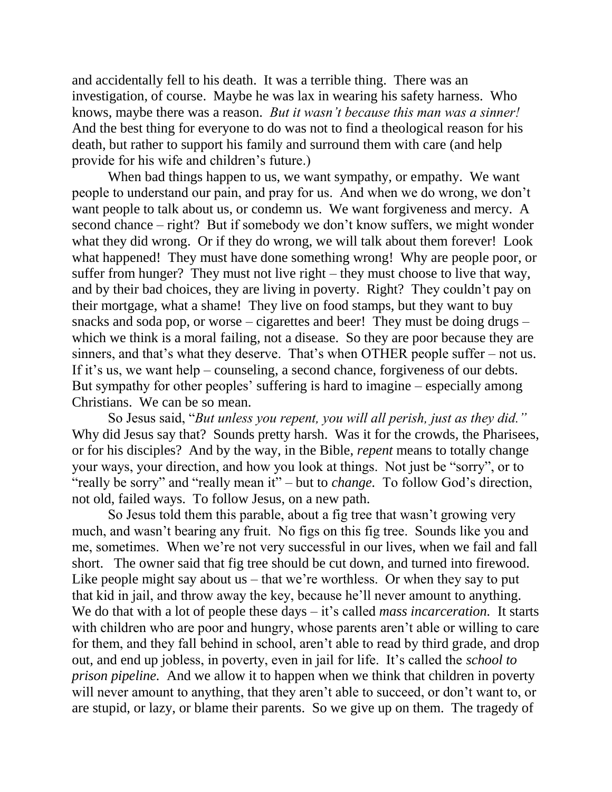and accidentally fell to his death. It was a terrible thing. There was an investigation, of course. Maybe he was lax in wearing his safety harness. Who knows, maybe there was a reason. *But it wasn't because this man was a sinner!* And the best thing for everyone to do was not to find a theological reason for his death, but rather to support his family and surround them with care (and help provide for his wife and children's future.)

When bad things happen to us, we want sympathy, or empathy. We want people to understand our pain, and pray for us. And when we do wrong, we don't want people to talk about us, or condemn us. We want forgiveness and mercy. A second chance – right? But if somebody we don't know suffers, we might wonder what they did wrong. Or if they do wrong, we will talk about them forever! Look what happened! They must have done something wrong! Why are people poor, or suffer from hunger? They must not live right – they must choose to live that way, and by their bad choices, they are living in poverty. Right? They couldn't pay on their mortgage, what a shame! They live on food stamps, but they want to buy snacks and soda pop, or worse – cigarettes and beer! They must be doing drugs – which we think is a moral failing, not a disease. So they are poor because they are sinners, and that's what they deserve. That's when OTHER people suffer – not us. If it's us, we want help – counseling, a second chance, forgiveness of our debts. But sympathy for other peoples' suffering is hard to imagine – especially among Christians. We can be so mean.

So Jesus said, "*But unless you repent, you will all perish, just as they did."* Why did Jesus say that? Sounds pretty harsh. Was it for the crowds, the Pharisees, or for his disciples? And by the way, in the Bible, *repent* means to totally change your ways, your direction, and how you look at things. Not just be "sorry", or to "really be sorry" and "really mean it" – but to *change.* To follow God's direction, not old, failed ways. To follow Jesus, on a new path.

So Jesus told them this parable, about a fig tree that wasn't growing very much, and wasn't bearing any fruit. No figs on this fig tree. Sounds like you and me, sometimes. When we're not very successful in our lives, when we fail and fall short. The owner said that fig tree should be cut down, and turned into firewood. Like people might say about us – that we're worthless. Or when they say to put that kid in jail, and throw away the key, because he'll never amount to anything. We do that with a lot of people these days – it's called *mass incarceration*. It starts with children who are poor and hungry, whose parents aren't able or willing to care for them, and they fall behind in school, aren't able to read by third grade, and drop out, and end up jobless, in poverty, even in jail for life. It's called the *school to prison pipeline.* And we allow it to happen when we think that children in poverty will never amount to anything, that they aren't able to succeed, or don't want to, or are stupid, or lazy, or blame their parents. So we give up on them. The tragedy of